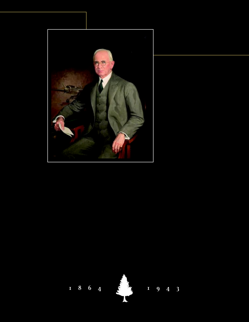

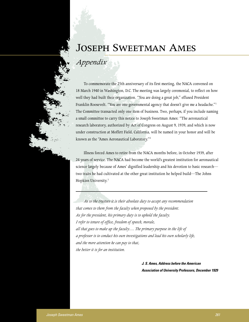## JOSEPH SWEETMAN AMES

*Appendix*

To commemorate the 25th anniversary of its first meeting, the NACA convened on 18 March 1940 in Washington, D.C. The meeting was largely ceremonial, to reflect on how well they had built their organization. "You are doing a great job," effused President Franklin Roosevelt. "You are one governmental agency that doesn't give me a headache."1 The Committee transacted only one item of business. Two, perhaps, if you include naming a small committee to carry this notice to Joseph Sweetman Ames: "The aeronautical research laboratory, authorized by Act of Congress on August 9, 1939, and which is now under construction at Moffett Field, California, will be named in your honor and will be known as the "Ames Aeronautical Laboratory."2

Illness forced Ames to retire from the NACA months before, in October 1939, after 24 years of service. The NACA had become the world's greatest institution for aeronautical science largely because of Ames' dignified leadership and his devotion to basic research two traits he had cultivated at the other great institution he helped build—The Johns Hopkins University.3

*As to the trustees it is their absolute duty to accept any recommendation that comes to them from the faculty when proposed by the president. As for the president, his primary duty is to uphold the faculty. I refer to tenure of office, freedom of speech, morale, all that goes to make up the faculty…. The primary purpose in the life of a professor is to conduct his own investigations and lead his own scholarly life, and the more attention he can pay to that, the better it is for an institution.*

> **J. S. Ames, Address before the American Association of University Professors, December 1929**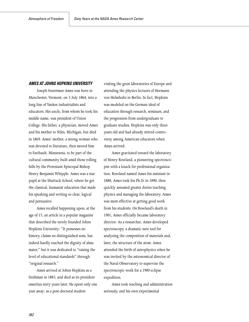## **AMES AT JOHNS HOPKINS UNIVERSITY**

Joseph Sweetman Ames was born in Manchester, Vermont, on 3 July 1864, into a long line of Yankee industrialists and educators. His uncle, from whom he took his middle name, was president of Union College. His father, a physician, moved Ames and his mother to Niles, Michigan, but died in 1869. Ames' mother, a strong woman who was devoted to literature, then moved him to Faribault, Minnesota, to be part of the cultural community built amid those rolling hills by the Protestant Episcopal Bishop Henry Benjamin Whipple. Ames was a star pupil at the Shattuck School, where he got the classical, humanist education that made his speaking and writing so clear, logical and persuasive.

Ames recalled happening upon, at the age of 15, an article in a popular magazine that described the newly founded Johns Hopkins University: "It possesses no history, claims no distinguished sons, has indeed hardly reached the dignity of alma mater," but it was dedicated to "raising the level of educational standards" through "original research."

Ames arrived at Johns Hopkins as a freshman in 1883, and died as its president emeritus sixty years later. He spent only one year away: as a post-doctoral student

visiting the great laboratories of Europe and attending the physics lectures of Hermann von Helmholtz in Berlin. In fact, Hopkins was modeled on the German ideal of education through research, seminars, and the progression from undergraduate to graduate studies. Hopkins was only three years old and had already stirred controversy among American educators when Ames arrived.

Ames gravitated toward the laboratory of Henry Rowland, a pioneering spectroscopist with a knack for professional organization. Rowland named Ames his assistant in 1888, Ames took his Ph.D. in 1890, then quickly assumed greater duties teaching physics and managing the laboratory. Ames was most effective at getting good work from his students. On Rowland's death in 1901, Ames officially became laboratory director. As a researcher, Ames developed spectroscopy, a dramatic new tool for analyzing the composition of materials and, later, the structure of the atom. Ames attended the birth of astrophysics when he was invited by the astronomical director of the Naval Observatory to supervise the spectroscopic work for a 1900 eclipse expedition.

Ames took teaching and administration seriously, and his own experimental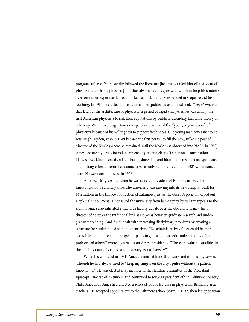program suffered. Yet he avidly followed the literature (he always called himself a student of physics rather than a physicist) and thus always had insights with which to help his students overcome their experimental roadblocks. As his laboratory expanded in scope, so did his teaching. In 1915 he crafted a three-year course (published as the textbook *General Physics*) that laid out the architecture of physics in a period of rapid change. Ames was among the first American physicists to risk their reputations by publicly defending Einstein's theory of relativity. Well into old age, Ames was perceived as one of the "younger generation" of physicists because of his willingness to support fresh ideas. One young man Ames mentored was Hugh Dryden, who in 1949 became the first person to fill the new, full-time post of director of the NACA (where he remained until the NACA was absorbed into NASA in 1958). Ames' lecture style was formal, complete, logical and clear. (His personal conversation likewise was kind-hearted and fair but business-like and blunt—the result, some speculate, of a lifelong effort to control a stammer.) Ames only stopped teaching in 1925 when named dean. He was named provost in 1926.

Ames was 65 years old when he was selected president of Hopkins in 1929; he knew it would be a trying time. The university was moving into its new campus, built for \$4.2 million in the Homewood section of Baltimore, just as the Great Depression wiped out Hopkins' endowment. Ames saved the university from bankruptcy by valiant appeals to the alumni. Ames also inherited a fractious faculty debate over the Goodnow plan, which threatened to sever the traditional link at Hopkins between graduate research and undergraduate teaching. And Ames dealt with increasing disciplinary problems by creating a structure for students to discipline themselves. "No administrative officer could be more accessible and none could take greater pains to gain a sympathetic understanding of the problems of others," wrote a journalist on Ames' presidency. "These are valuable qualities in the administrator of so loose a confederacy as a university."4

When his wife died in 1931, Ames committed himself to work and community service. (Though he had always tried to "keep my fingers on the city's pulse without the patient knowing it.") He was elected a lay member of the standing committee of the Protestant Episcopal Diocese of Baltimore, and continued to serve as president of the Baltimore Country Club. Since 1900 Ames had directed a series of public lectures in physics for Baltimore area teachers. He accepted appointment to the Baltimore school board in 1932, then led opposition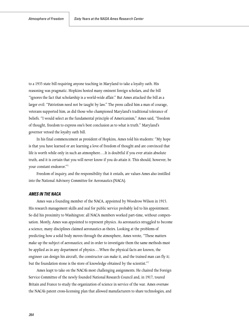to a 1935 state bill requiring anyone teaching in Maryland to take a loyalty oath. His reasoning was pragmatic. Hopkins hosted many eminent foreign scholars, and the bill "ignores the fact that scholarship is a world-wide affair." But Ames attacked the bill as a larger evil: "Patriotism need not be taught by law." The press called him a man of courage, veterans supported him, as did those who championed Maryland's traditional tolerance of beliefs. "I would select as the fundamental principle of Americanism," Ames said, "freedom of thought, freedom to express one's best conclusion as to what is truth." Maryland's governor vetoed the loyalty oath bill.

In his final commencement as president of Hopkins, Ames told his students: "My hope is that you have learned or are learning a love of freedom of thought and are convinced that life is worth while only in such an atmosphere….It is doubtful if you ever attain absolute truth, and it is certain that you will never know if you do attain it. This should, however, be your constant endeavor."5

Freedom of inquiry, and the responsibility that it entails, are values Ames also instilled into the National Advisory Committee for Aeronautics (NACA).

## **AMES IN THE NACA**

Ames was a founding member of the NACA, appointed by Woodrow Wilson in 1915. His research management skills and zeal for public service probably led to his appointment. So did his proximity to Washington: all NACA members worked part-time, without compensation. Mostly, Ames was appointed to represent physics. As aeronautics struggled to become a science, many disciplines claimed aeronautics as theirs. Looking at the problems of predicting how a solid body moves through the atmosphere, Ames wrote, "These matters make up the subject of aeronautics; and in order to investigate them the same methods must be applied as in any department of physics….When the physical facts are known, the engineer can design his aircraft, the constructor can make it, and the trained man can fly it; but the foundation stone is the store of knowledge obtained by the scientist."7

Ames leapt to take on the NACA's most challenging assignments. He chaired the Foreign Service Committee of the newly founded National Research Council and, in 1917, toured Britain and France to study the organization of science in service of the war. Ames oversaw the NACA's patent cross-licensing plan that allowed manufacturers to share technologies, and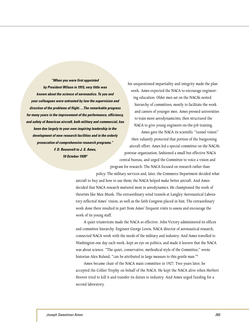**"When you were first appointed by President Wilson in 1915, very little was known about the science of aeronautics. To you and your colleagues were entrusted by law the supervision and direction of the problems of flight….The remarkable progress for many years in the improvement of the performance, efficiency, and safety of American aircraft, both military and commercial, has been due largely to your own inspiring leadership in the development of new research facilities and in the orderly prosecution of comprehensive research programs." F. D. Roosevelt to J. S. Ames, 10 October 19396**

his unquestioned impartiality and integrity made the plan work. Ames expected the NACA to encourage engineering education. Older men sat on the NACA's nested hierarchy of committees, mostly to facilitate the work and careers of younger men. Ames pressed universities to train more aerodynamicists, then structured the NACA to give young engineers on-the-job training.

Ames gave the NACA its scientific "tunnel vision" then valiantly protected that portion of the burgeoning aircraft effort. Ames led a special committee on the NACA's postwar organization, fashioned a small but effective NACA

central bureau, and urged the Committee to voice a vision and program for research. The NACA focused on research rather than

policy. The military services and, later, the Commerce Department decided what aircraft to buy and how to use them; the NACA helped make better aircraft. And Ames decided that NACA research mattered most in aerodynamics. He championed the work of theorists like Max Munk. The extraordinary wind tunnels at Langley Aeronautical Laboratory reflected Ames' vision, as well as the faith Congress placed in him. The extraordinary work done there resulted in part from Ames' frequent visits to assess and encourage the work of its young staff.

A quiet triumvirate made the NACA so effective. John Victory administered its offices and committee hierarchy. Engineer George Lewis, NACA director of aeronautical research, connected NACA work with the needs of the military and industry. And Ames travelled to Washington one day each week, kept an eye on politics, and made it known that the NACA was about science. "The quiet, conservative, methodical style of the Committee," wrote historian Alex Roland, "can be attributed in large measure to this gentle man."<sup>8</sup>

Ames became chair of the NACA main committee in 1927. Two years later, he accepted the Collier Trophy on behalf of the NACA. He kept the NACA alive when Herbert Hoover tried to kill it and transfer its duties to industry. And Ames urged funding for a second laboratory.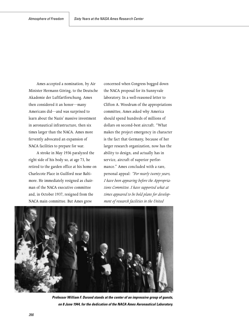Ames accepted a nomination, by Air Minister Hermann Göring, to the Deutsche Akademie der Luftfartforschung. Ames then considered it an honor—many Americans did—and was surprised to learn about the Nazis' massive investment in aeronautical infrastructure, then six times larger than the NACA. Ames more fervently advocated an expansion of NACA facilities to prepare for war.

A stroke in May 1936 paralyzed the right side of his body so, at age 73, he retired to the garden office at his home on Charlecote Place in Guilford near Baltimore. He immediately resigned as chairman of the NACA executive committee and, in October 1937, resigned from the NACA main committee. But Ames grew

concerned when Congress bogged down the NACA proposal for its Sunnyvale laboratory. In a well-reasoned letter to Clifton A. Woodrum of the appropriations committee, Ames asked why America should spend hundreds of millions of dollars on second-best aircraft. "What makes the project emergency in character is the fact that Germany, because of her larger research organization, now has the ability to design, and actually has in service, aircraft of superior performance." Ames concluded with a rare, personal appeal: *"For nearly twenty years, I have been appearing before the Appropriations Committee. I have supported what at times appeared to be bold plans for development of research facilities in the United*



**Professor William F. Durand stands at the center of an impressive group of guests, on 8 June 1944, for the dedication of the NACA Ames Aeronautical Laboratory.**